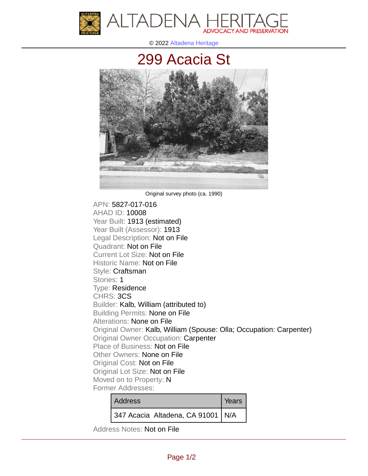

© 2022 [Altadena Heritage](http://altadenaheritage.org/)

## [299 Acacia St](ahad.altadenaheritagepdb.org/properties/10008)



Original survey photo (ca. 1990)

APN: 5827-017-016 [AHAD ID: 10008](ahad.altadenaheritagepdb.org/properties/10008) Year Built: 1913 (estimated) Year Built (Assessor): 1913 Legal Description: Not on File Quadrant: Not on File Current Lot Size: Not on File Historic Name: Not on File Style: Craftsman Stories: 1 Type: Residence CHRS: 3CS Builder: Kalb, William (attributed to) Building Permits: None on File Alterations: None on File Original Owner: Kalb, William (Spouse: Olla; Occupation: Carpenter) Original Owner Occupation: Carpenter Place of Business: Not on File Other Owners: None on File Original Cost: Not on File Original Lot Size: Not on File Moved on to Property: N Former Addresses:

| <b>Address</b>                      | Years |
|-------------------------------------|-------|
| 347 Acacia Altadena, CA 91001   N/A |       |

Address Notes: Not on File